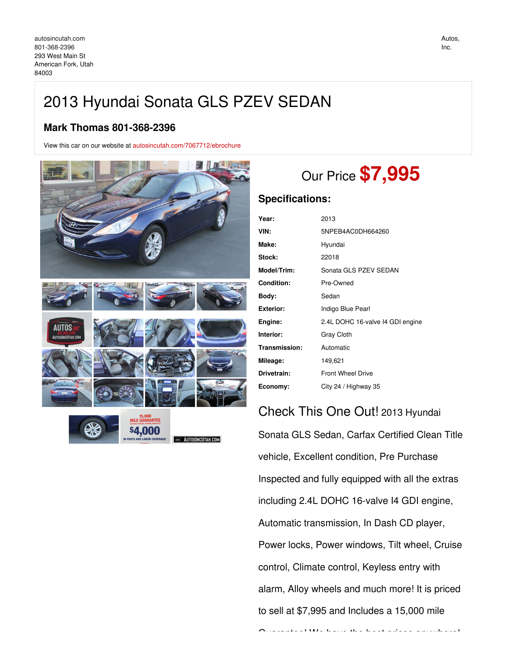# 2013 Hyundai Sonata GLS PZEV SEDAN

## **Mark Thomas 801-368-2396**

View this car on our website at [autosincutah.com/7067712/ebrochure](https://autosincutah.com/vehicle/7067712/2013-hyundai-sonata-gls-pzev-sedan-american-fork-utah-84003/7067712/ebrochure)



# Our Price **\$7,995**

### **Specifications:**

| Year:             | 2013                             |
|-------------------|----------------------------------|
| VIN:              | 5NPEB4AC0DH664260                |
| Make:             | Hyundai                          |
| Stock:            | 22018                            |
| Model/Trim:       | Sonata GLS PZEV SEDAN            |
| <b>Condition:</b> | Pre-Owned                        |
| Body:             | Sedan                            |
| <b>Exterior:</b>  | Indigo Blue Pearl                |
| Engine:           | 2.4L DOHC 16-valve I4 GDI engine |
| Interior:         | Gray Cloth                       |
| Transmission:     | Automatic                        |
| Mileage:          | 149,621                          |
| Drivetrain:       | <b>Front Wheel Drive</b>         |
| Economy:          | City 24 / Highway 35             |

Check This One Out! 2013 Hyundai Sonata GLS Sedan, Carfax Certified Clean Title vehicle, Excellent condition, Pre Purchase Inspected and fully equipped with all the extras including 2.4L DOHC 16-valve I4 GDI engine, Automatic transmission, In Dash CD player, Power locks, Power windows, Tilt wheel, Cruise control, Climate control, Keyless entry with alarm, Alloy wheels and much more! It is priced to sell at \$7,995 and Includes a 15,000 mile

Guarantee in the best prices and best prices anywhere in the best prices anywhere in the best prices anywhere in the best prices and best prices anywhere in the best prices anywhere in the best prices and the best prices a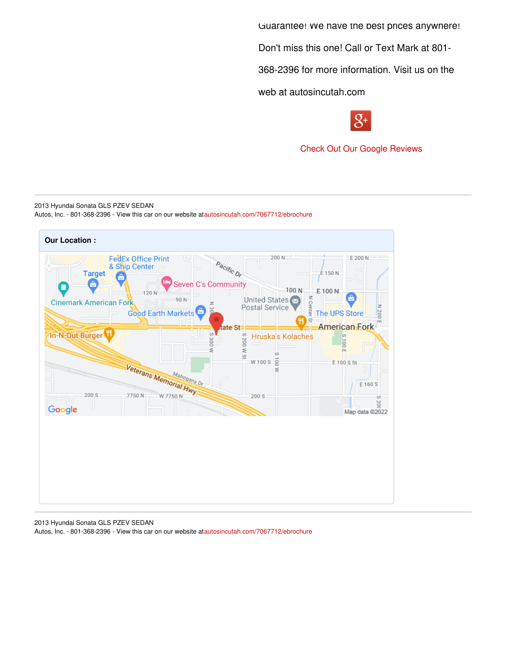Guarantee! We have the best prices anywhere!

Don't miss this one! Call or Text Mark at 801-

368-2396 for more information. Visit us on the

web at autosincutah.com



Check Out Our Google [Reviews](https://goo.gl/8uQi3A)

2013 Hyundai Sonata GLS PZEV SEDAN Autos, Inc. - 801-368-2396 - View this car on our website at[autosincutah.com/7067712/ebrochure](https://autosincutah.com/vehicle/7067712/2013-hyundai-sonata-gls-pzev-sedan-american-fork-utah-84003/7067712/ebrochure)



2013 Hyundai Sonata GLS PZEV SEDAN Autos, Inc. - 801-368-2396 - View this car on our website at[autosincutah.com/7067712/ebrochure](https://autosincutah.com/vehicle/7067712/2013-hyundai-sonata-gls-pzev-sedan-american-fork-utah-84003/7067712/ebrochure)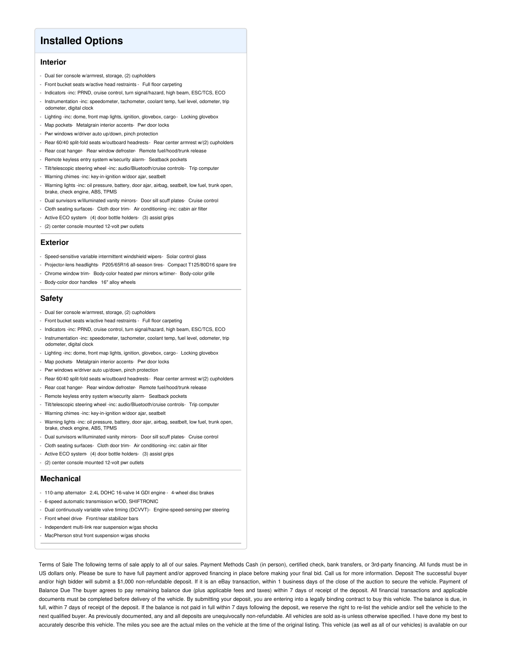## **Installed Options**

### **Interior**

- Dual tier console w/armrest, storage, (2) cupholders
- Front bucket seats w/active head restraints Full floor carpeting
- Indicators -inc: PRND, cruise control, turn signal/hazard, high beam, ESC/TCS, ECO
- Instrumentation -inc: speedometer, tachometer, coolant temp, fuel level, odometer, trip odometer, digital clock
- Lighting -inc: dome, front map lights, ignition, glovebox, cargo- Locking glovebox
- Map pockets- Metalgrain interior accents- Pwr door locks
- Pwr windows w/driver auto up/down, pinch protection
- Rear 60/40 split-fold seats w/outboard headrests- Rear center armrest w/(2) cupholders
- Rear coat hanger- Rear window defroster- Remote fuel/hood/trunk release
- Remote keyless entry system w/security alarm- Seatback pockets
- Tilt/telescopic steering wheel -inc: audio/Bluetooth/cruise controls- Trip computer
- Warning chimes -inc: key-in-ignition w/door ajar, seatbelt
- Warning lights -inc: oil pressure, battery, door ajar, airbag, seatbelt, low fuel, trunk open, brake, check engine, ABS, TPMS
- Dual sunvisors w/illuminated vanity mirrors- Door sill scuff plates- Cruise control
- Cloth seating surfaces- Cloth door trim- Air conditioning -inc: cabin air filter
- Active ECO system- (4) door bottle holders- (3) assist grips
- (2) center console mounted 12-volt pwr outlets

#### **Exterior**

- Speed-sensitive variable intermittent windshield wipers- Solar control glass
- Projector-lens headlights- P205/65R16 all-season tires- Compact T125/80D16 spare tire
- Chrome window trim- Body-color heated pwr mirrors w/timer- Body-color grille
- Body-color door handles- 16" alloy wheels

#### **Safety**

- Dual tier console w/armrest, storage, (2) cupholders
- Front bucket seats w/active head restraints Full floor carpeting
- Indicators -inc: PRND, cruise control, turn signal/hazard, high beam, ESC/TCS, ECO
- Instrumentation -inc: speedometer, tachometer, coolant temp, fuel level, odometer, trip odometer, digital clock
- Lighting -inc: dome, front map lights, ignition, glovebox, cargo- Locking glovebox
- Map pockets- Metalgrain interior accents- Pwr door locks
- Pwr windows w/driver auto up/down, pinch protection
- Rear 60/40 split-fold seats w/outboard headrests- Rear center armrest w/(2) cupholders
- Rear coat hanger- Rear window defroster- Remote fuel/hood/trunk release
- Remote keyless entry system w/security alarm- Seatback pockets
- Tilt/telescopic steering wheel -inc: audio/Bluetooth/cruise controls- Trip computer
- Warning chimes -inc: key-in-ignition w/door ajar, seatbelt
- Warning lights -inc: oil pressure, battery, door ajar, airbag, seatbelt, low fuel, trunk open, brake, check engine, ABS, TPMS
- Dual sunvisors w/illuminated vanity mirrors- Door sill scuff plates- Cruise control
- Cloth seating surfaces- Cloth door trim- Air conditioning -inc: cabin air filter
- Active ECO system- (4) door bottle holders- (3) assist grips
- (2) center console mounted 12-volt pwr outlets

#### **Mechanical**

- 110-amp alternator- 2.4L DOHC 16-valve I4 GDI engine 4-wheel disc brakes
- 6-speed automatic transmission w/OD, SHIFTRONIC
- Dual continuously variable valve timing (DCVVT)- Engine-speed-sensing pwr steering
- Front wheel drive- Front/rear stabilizer bars
- Independent multi-link rear suspension w/gas shocks
- MacPherson strut front suspension w/gas shocks

Terms of Sale The following terms of sale apply to all of our sales. Payment Methods Cash (in person), certified check, bank transfers, or 3rd-party financing. All funds must be in US dollars only. Please be sure to have full payment and/or approved financing in place before making your final bid. Call us for more information. Deposit The successful buyer and/or high bidder will submit a \$1,000 non-refundable deposit. If it is an eBay transaction, within 1 business days of the close of the auction to secure the vehicle. Payment of Balance Due The buyer agrees to pay remaining balance due (plus applicable fees and taxes) within 7 days of receipt of the deposit. All financial transactions and applicable documents must be completed before delivery of the vehicle. By submitting your deposit, you are entering into a legally binding contract to buy this vehicle. The balance is due, in full, within 7 days of receipt of the deposit. If the balance is not paid in full within 7 days following the deposit, we reserve the right to re-list the vehicle and/or sell the vehicle to the next qualified buyer. As previously documented, any and all deposits are unequivocally non-refundable. All vehicles are sold as-is unless otherwise specified. I have done my best to accurately describe this vehicle. The miles you see are the actual miles on the vehicle at the time of the original listing. This vehicle (as well as all of our vehicles) is available on our